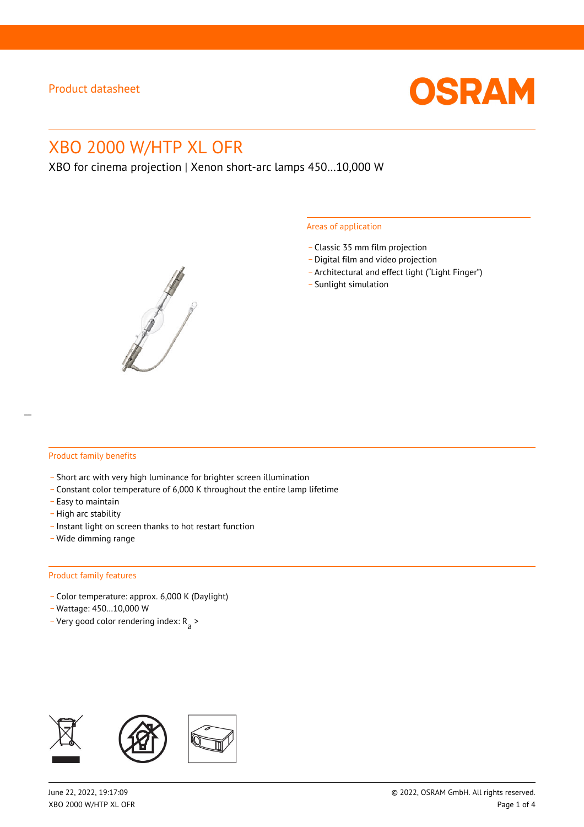

# XBO 2000 W/HTP XL OFR

XBO for cinema projection | Xenon short-arc lamps 450…10,000 W



#### Areas of application

- \_ Classic 35 mm film projection
- \_ Digital film and video projection
- \_ Architectural and effect light ("Light Finger")
- Sunlight simulation

#### Product family benefits

- \_ Short arc with very high luminance for brighter screen illumination
- \_ Constant color temperature of 6,000 K throughout the entire lamp lifetime
- \_ Easy to maintain
- High arc stability
- \_ Instant light on screen thanks to hot restart function
- \_ Wide dimming range

#### Product family features

- \_ Color temperature: approx. 6,000 K (Daylight)
- \_ Wattage: 450…10,000 W
- Very good color rendering index:  $R_{\text{a}}$  >

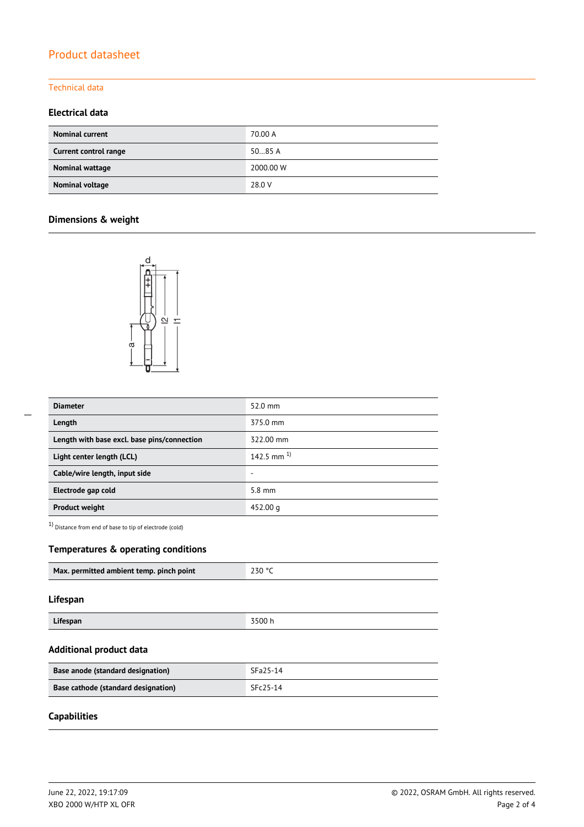# Product datasheet

#### Technical data

## **Electrical data**

| <b>Nominal current</b> | 70.00 A   |
|------------------------|-----------|
| Current control range  | 5085A     |
| Nominal wattage        | 2000.00 W |
| Nominal voltage        | 28.0 V    |

## **Dimensions & weight**



| <b>Diameter</b>                             | 52.0 mm          |  |
|---------------------------------------------|------------------|--|
| Length                                      | 375.0 mm         |  |
| Length with base excl. base pins/connection | 322.00 mm        |  |
| Light center length (LCL)                   | 142.5 mm $^{1}$  |  |
| Cable/wire length, input side               | ٠                |  |
| Electrode gap cold                          | $5.8 \text{ mm}$ |  |
| <b>Product weight</b>                       | 452.00 g         |  |

1) Distance from end of base to tip of electrode (cold)

## **Temperatures & operating conditions**

| Max. permitted ambient temp. pinch point | 230 °C |
|------------------------------------------|--------|
|                                          |        |

#### **Lifespan**

| Lifespan | 3500h |
|----------|-------|

#### **Additional product data**

| Base anode (standard designation)   | SFa25-14 |
|-------------------------------------|----------|
| Base cathode (standard designation) | SFc25-14 |

# **Capabilities**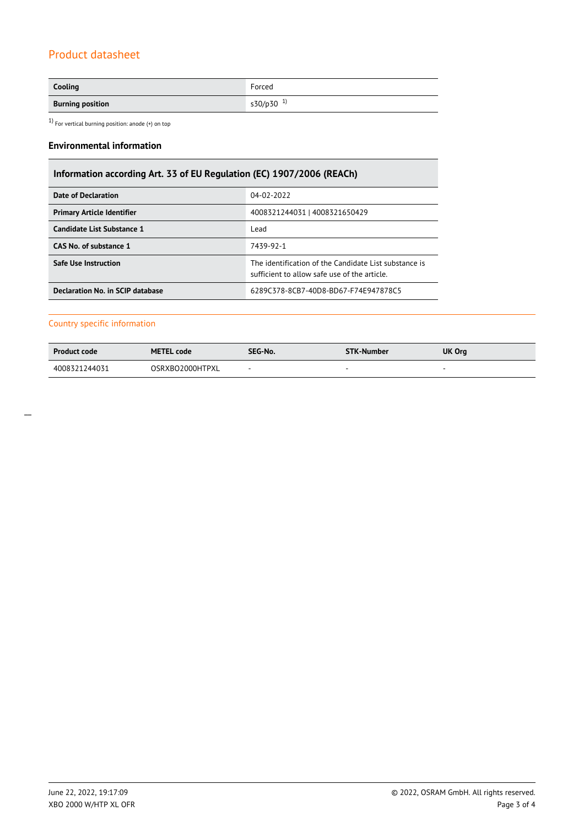# Product datasheet

| Cooling                 | Forced                |
|-------------------------|-----------------------|
| <b>Burning position</b> | s30/p30 <sup>1)</sup> |

 $1)$  For vertical burning position: anode (+) on top

## **Environmental information**

# **Information according Art. 33 of EU Regulation (EC) 1907/2006 (REACh)**

| Date of Declaration               | 04-02-2022                                                                                            |  |  |
|-----------------------------------|-------------------------------------------------------------------------------------------------------|--|--|
| <b>Primary Article Identifier</b> | 4008321244031   4008321650429                                                                         |  |  |
| <b>Candidate List Substance 1</b> | Lead                                                                                                  |  |  |
| CAS No. of substance 1            | 7439-92-1                                                                                             |  |  |
| Safe Use Instruction              | The identification of the Candidate List substance is<br>sufficient to allow safe use of the article. |  |  |
| Declaration No. in SCIP database  | 6289C378-8CB7-40D8-BD67-F74E947878C5                                                                  |  |  |

## Country specific information

| <b>Product code</b> | <b>METEL code</b> | SEG-No. | <b>STK-Number</b> | UK Org |
|---------------------|-------------------|---------|-------------------|--------|
| 4008321244031       | OSRXBO2000HTPXL   |         | $\sim$            |        |